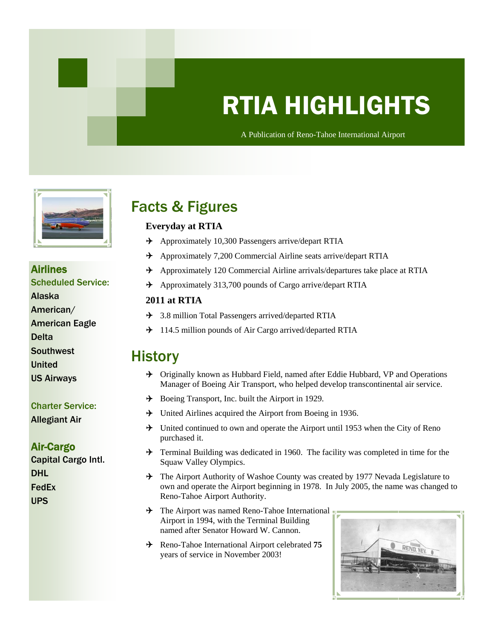# RTIA HIGHLIGHTS

A Publication of Reno-Tahoe International Airport A Publication of Reno-Tahoe International Airport



## Airlines

Scheduled Service:

- Alaska
- American/
- American Eagle
- Delta
- **Southwest**
- United
- US Airways

### Charter Service:

Allegiant Air

### Air-Cargo

Capital Cargo Intl. DHL FedEx UPS

## Facts & Figures

### **Everyday at RTIA**

- $\rightarrow$  Approximately 10,300 Passengers arrive/depart RTIA
- Approximately 7,200 Commercial Airline seats arrive/depart RTIA
- Approximately 120 Commercial Airline arrivals/departures take place at RTIA
- $\rightarrow$  Approximately 313,700 pounds of Cargo arrive/depart RTIA

### **2011 at RTIA**

- → 3.8 million Total Passengers arrived/departed RTIA
- $\rightarrow$  114.5 million pounds of Air Cargo arrived/departed RTIA

### **History**

- → Originally known as Hubbard Field, named after Eddie Hubbard, VP and Operations Manager of Boeing Air Transport, who helped develop transcontinental air service.
- $\rightarrow$  Boeing Transport, Inc. built the Airport in 1929.
- $\rightarrow$  United Airlines acquired the Airport from Boeing in 1936.
- $\rightarrow$  United continued to own and operate the Airport until 1953 when the City of Reno purchased it.
- $\rightarrow$  Terminal Building was dedicated in 1960. The facility was completed in time for the Squaw Valley Olympics.
- → The Airport Authority of Washoe County was created by 1977 Nevada Legislature to own and operate the Airport beginning in 1978. In July 2005, the name was changed to Reno-Tahoe Airport Authority.
- $\rightarrow$  The Airport was named Reno-Tahoe International Airport in 1994, with the Terminal Building named after Senator Howard W. Cannon.
- $\div$  Reno-Tahoe International Airport celebrated 75 years of service in November 2003!

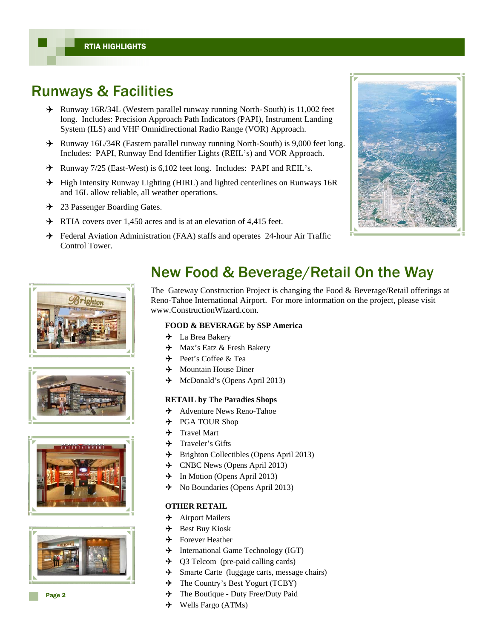### Runways & Facilities

- Runway 16R/34L (Western parallel runway running North- South) is 11,002 feet long. Includes: Precision Approach Path Indicators (PAPI), Instrument Landing System (ILS) and VHF Omnidirectional Radio Range (VOR) Approach.
- $\rightarrow$  Runway 16L/34R (Eastern parallel runway running North-South) is 9,000 feet long. Includes: PAPI, Runway End Identifier Lights (REIL's) and VOR Approach.
- $\div$  Runway 7/25 (East-West) is 6,102 feet long. Includes: PAPI and REIL's.
- $\rightarrow$  High Intensity Runway Lighting (HIRL) and lighted centerlines on Runways 16R and 16L allow reliable, all weather operations.
- → 23 Passenger Boarding Gates.
- $\rightarrow$  RTIA covers over 1,450 acres and is at an elevation of 4,415 feet.
- Federal Aviation Administration (FAA) staffs and operates 24-hour Air Traffic Control Tower.











## New Food & Beverage/Retail On the Way

The Gateway Construction Project is changing the Food & Beverage/Retail offerings at Reno-Tahoe International Airport. For more information on the project, please visit www.ConstructionWizard.com.

### **FOOD & BEVERAGE by SSP America**

- **→** La Brea Bakery
- $\rightarrow$  Max's Eatz & Fresh Bakery
- $\rightarrow$  Peet's Coffee & Tea
- $\rightarrow$  Mountain House Diner
- $\rightarrow$  McDonald's (Opens April 2013)

### **RETAIL by The Paradies Shops**

- Adventure News Reno-Tahoe
- $\rightarrow$  PGA TOUR Shop
- $\rightarrow$  Travel Mart
- $\rightarrow$  Traveler's Gifts
- $\rightarrow$  Brighton Collectibles (Opens April 2013)
- The CNBC News (Opens April 2013)
- $\rightarrow$  In Motion (Opens April 2013)
- $\rightarrow$  No Boundaries (Opens April 2013)

### **OTHER RETAIL**

- $\rightarrow$  Airport Mailers
- $\rightarrow$  Best Buy Kiosk
- $\rightarrow$  Forever Heather
- $\rightarrow$  International Game Technology (IGT)
- $\rightarrow$  Q3 Telcom (pre-paid calling cards)
- $\rightarrow$  Smarte Carte (luggage carts, message chairs)
- $\rightarrow$  The Country's Best Yogurt (TCBY)
- $\rightarrow$  The Boutique Duty Free/Duty Paid
- $\rightarrow$  Wells Fargo (ATMs)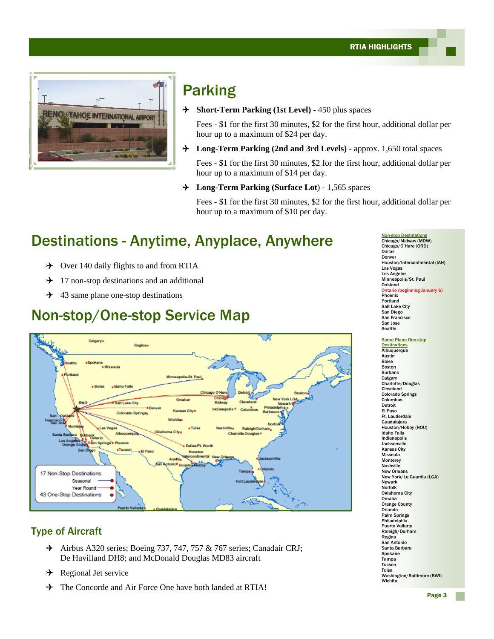

## Parking

**Short-Term Parking (1st Level)** - 450 plus spaces

 Fees - \$1 for the first 30 minutes, \$2 for the first hour, additional dollar per hour up to a maximum of \$24 per day.

**Long-Term Parking (2nd and 3rd Levels)** - approx. 1,650 total spaces

Fees - \$1 for the first 30 minutes, \$2 for the first hour, additional dollar per hour up to a maximum of \$14 per day.

**Long-Term Parking (Surface Lot**) - 1,565 spaces

 Fees - \$1 for the first 30 minutes, \$2 for the first hour, additional dollar per hour up to a maximum of \$10 per day.

## Destinations - Anytime, Anyplace, Anywhere

- $\rightarrow$  Over 140 daily flights to and from RTIA
- $\rightarrow$  17 non-stop destinations and an additional
- $\div$  43 same plane one-stop destinations

### Non-stop/One-stop Service Map



### Type of Aircraft

- $\rightarrow$  Airbus A320 series; Boeing 737, 747, 757 & 767 series; Canadair CRJ; De Havilland DH8; and McDonald Douglas MD83 aircraft
- $\rightarrow$  Regional Jet service
- $\rightarrow$  The Concorde and Air Force One have both landed at RTIA!

Non-stop Destinations Chicago/Midway (MDW) Chicago/O'Hare (ORD) Dallas Denver Houston/Intercontinental (IAH) Las Vegas Los Angeles Minneapolis/St. Paul Oakland Ontario (beginning January 6) Phoenix Portland Salt Lake City San Diego San Francisco San Jose **Seattle** 

Same Plane One-stop **Destinations Albuquerque** Austin Boise Boston Burbank **Calgary** Charlotte/Douglas Cleveland Colorado Springs Columbus Detroit El Paso Ft. Lauderdale Guadalajara Houston/Hobby (HOU) Idaho Falls Indianapolis **Jacksonville** Kansas City Missoula Monterey Nashville New Orleans New York/La Guardia (LGA) Newark Norfolk Oklahoma City Omaha Orange County Orlando Palm Springs **Philadelphia** Puerto Vallarta Raleigh/Durham Regina San Antonio Santa Barbara Spokane Tampa Tucson Tulsa Washington/Baltimore (BWI) **Wichita**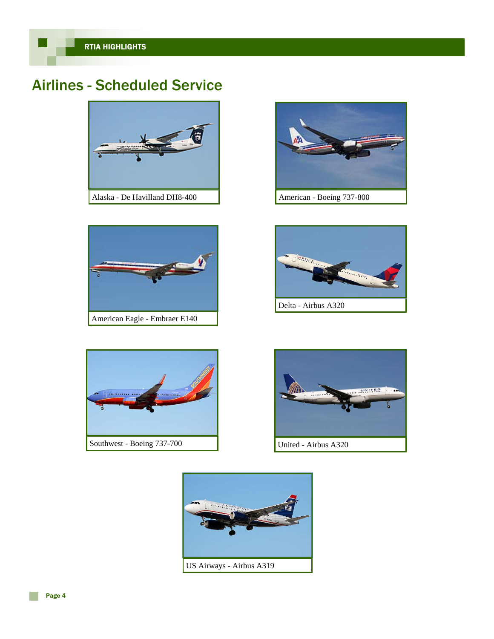## Airlines - Scheduled Service



Alaska - De Havilland DH8-400





Delta - Airbus A320





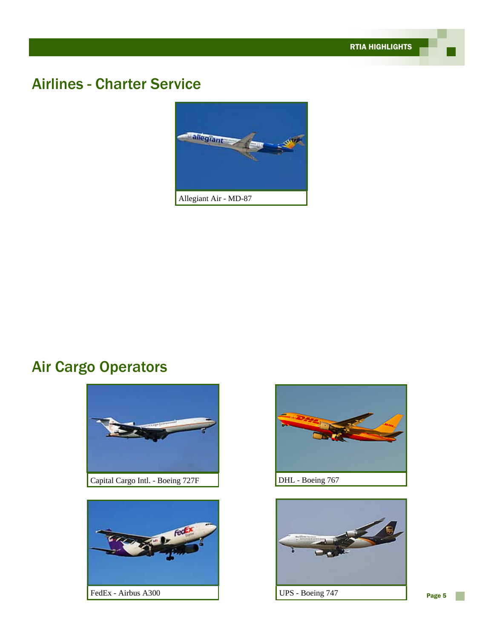## Airlines - Charter Service



## Air Cargo Operators